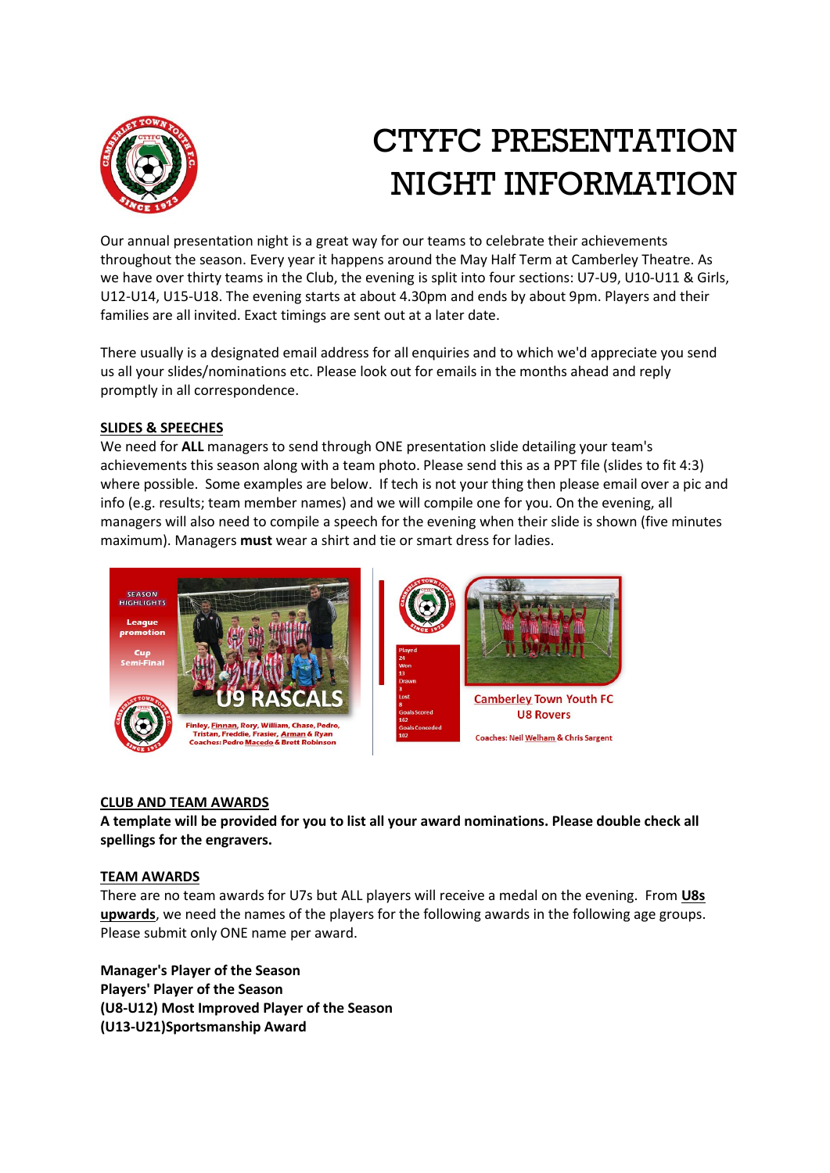

# CTYFC PRESENTATION NIGHT INFORMATION

Our annual presentation night is a great way for our teams to celebrate their achievements throughout the season. Every year it happens around the May Half Term at Camberley Theatre. As we have over thirty teams in the Club, the evening is split into four sections: U7-U9, U10-U11 & Girls, U12-U14, U15-U18. The evening starts at about 4.30pm and ends by about 9pm. Players and their families are all invited. Exact timings are sent out at a later date.

There usually is a designated email address for all enquiries and to which we'd appreciate you send us all your slides/nominations etc. Please look out for emails in the months ahead and reply promptly in all correspondence.

## **SLIDES & SPEECHES**

We need for **ALL** managers to send through ONE presentation slide detailing your team's achievements this season along with a team photo. Please send this as a PPT file (slides to fit 4:3) where possible. Some examples are below. If tech is not your thing then please email over a pic and info (e.g. results; team member names) and we will compile one for you. On the evening, all managers will also need to compile a speech for the evening when their slide is shown (five minutes maximum). Managers **must** wear a shirt and tie or smart dress for ladies.



## **CLUB AND TEAM AWARDS**

**A template will be provided for you to list all your award nominations. Please double check all spellings for the engravers.**

### **TEAM AWARDS**

There are no team awards for U7s but ALL players will receive a medal on the evening. From **U8s upwards**, we need the names of the players for the following awards in the following age groups. Please submit only ONE name per award.

**Manager's Player of the Season Players' Player of the Season (U8-U12) Most Improved Player of the Season (U13-U21)Sportsmanship Award**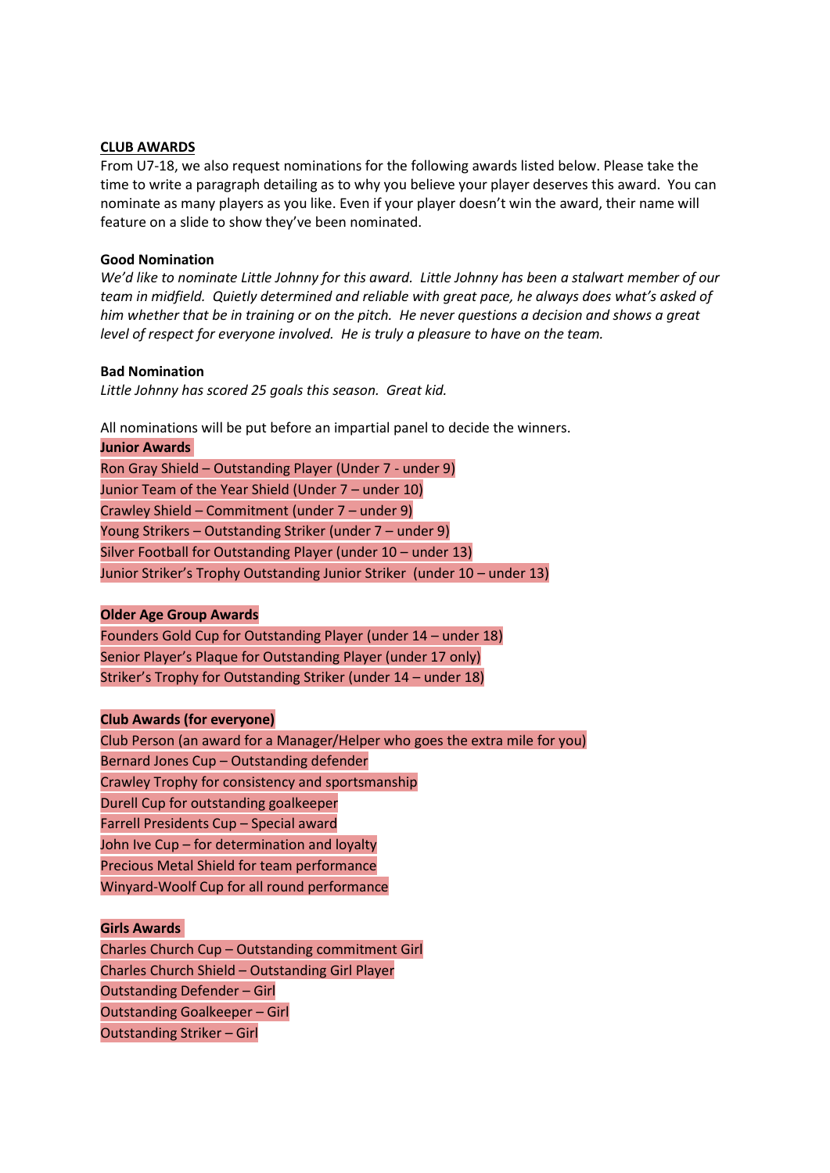#### **CLUB AWARDS**

From U7-18, we also request nominations for the following awards listed below. Please take the time to write a paragraph detailing as to why you believe your player deserves this award. You can nominate as many players as you like. Even if your player doesn't win the award, their name will feature on a slide to show they've been nominated.

#### **Good Nomination**

*We'd like to nominate Little Johnny for this award. Little Johnny has been a stalwart member of our team in midfield. Quietly determined and reliable with great pace, he always does what's asked of him whether that be in training or on the pitch. He never questions a decision and shows a great level of respect for everyone involved. He is truly a pleasure to have on the team.*

#### **Bad Nomination**

*Little Johnny has scored 25 goals this season. Great kid.*

All nominations will be put before an impartial panel to decide the winners.

| <b>Junior Awards</b> |                                                                          |
|----------------------|--------------------------------------------------------------------------|
|                      | Ron Gray Shield – Outstanding Player (Under 7 - under 9)                 |
|                      | Junior Team of the Year Shield (Under 7 - under 10)                      |
|                      | Crawley Shield - Commitment (under 7 - under 9)                          |
|                      | Young Strikers - Outstanding Striker (under 7 - under 9)                 |
|                      | Silver Football for Outstanding Player (under 10 - under 13)             |
|                      | Junior Striker's Trophy Outstanding Junior Striker (under 10 - under 13) |

#### **Older Age Group Awards**

Founders Gold Cup for Outstanding Player (under 14 – under 18) Senior Player's Plaque for Outstanding Player (under 17 only) Striker's Trophy for Outstanding Striker (under 14 – under 18)

#### **Club Awards (for everyone)**

Club Person (an award for a Manager/Helper who goes the extra mile for you) Bernard Jones Cup – Outstanding defender Crawley Trophy for consistency and sportsmanship Durell Cup for outstanding goalkeeper Farrell Presidents Cup – Special award John Ive Cup – for determination and loyalty Precious Metal Shield for team performance Winyard-Woolf Cup for all round performance

## **Girls Awards**

Charles Church Cup – Outstanding commitment Girl Charles Church Shield – Outstanding Girl Player Outstanding Defender – Girl Outstanding Goalkeeper – Girl Outstanding Striker – Girl